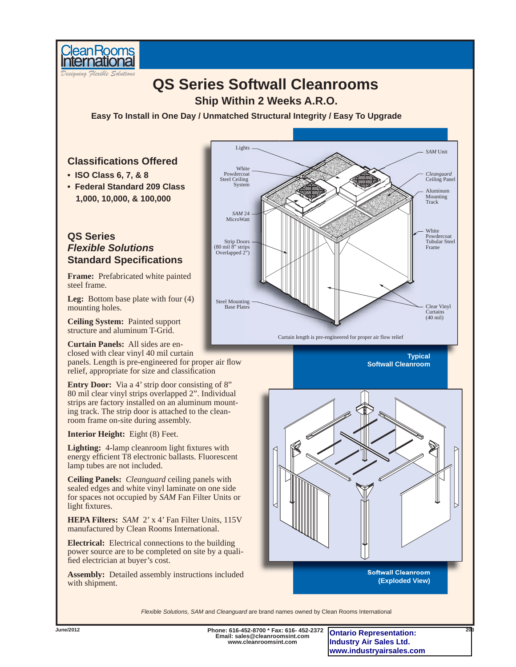

## *Designing Flexible Solutions* **QS Series Softwall Cleanrooms • ISO Class 6, 7, & 8 • Federal Standard 209 Class 1,000, 10,000, & 100,000 Ship Within 2 Weeks A.R.O.** Lights *SAM* Unit *Cleanguard* Ceiling Panel White Powdercoat Tubular Steel Frame White Powdercoat Steel Ceiling System Clear Vinyl Curtains (40 mil) Steel Mounting Base Plates Curtain length is pre-engineered for proper air flow relief Strip Doors (80 mil 8" strips Overlapped 2") *SAM*<sup>24</sup> MicroWatt Aluminum **Mounting** Track **Typical Softwall Cleanroom Frame:** Prefabricated white painted steel frame. **Leg:** Bottom base plate with four (4) mounting holes. **Ceiling System:** Painted support structure and aluminum T-Grid. **Curtain Panels:** All sides are enclosed with clear vinyl 40 mil curtain panels. Length is pre-engineered for proper air flow relief, appropriate for size and classification **Entry Door:** Via a 4' strip door consisting of 8" 80 mil clear vinyl strips overlapped 2". Individual strips are factory installed on an aluminum mounting track. The strip door is attached to the cleanroom frame on-site during assembly. **QS Series** *Flexible Solutions* **Standard Specifications Classifi cations Offered Easy To Install in One Day / Unmatched Structural Integrity / Easy To Upgrade**

**Interior Height:** Eight (8) Feet.

**Lighting:** 4-lamp cleanroom light fixtures with energy efficient T8 electronic ballasts. Fluorescent lamp tubes are not included.

**Ceiling Panels:** *Cleanguard* ceiling panels with sealed edges and white vinyl laminate on one side for spaces not occupied by *SAM* Fan Filter Units or light fixtures.

**HEPA Filters:** *SAM* 2' x 4' Fan Filter Units, 115V manufactured by Clean Rooms International.

**Electrical:** Electrical connections to the building power source are to be completed on site by a qualified electrician at buyer's cost.

**Assembly:** Detailed assembly instructions included with shipment.



*Flexible Solutions, SAM* and *Cleanguard* are brand names owned by Clean Rooms International

**Email: sales@cleanroomsint.com www.cleanroomsint.com**

**Phone: 616-452-8700 \* Fax: 616- 452-2372 June/2012 203 Ontario Representation: Industry Air Sales Ltd. www.industryairsales.com**